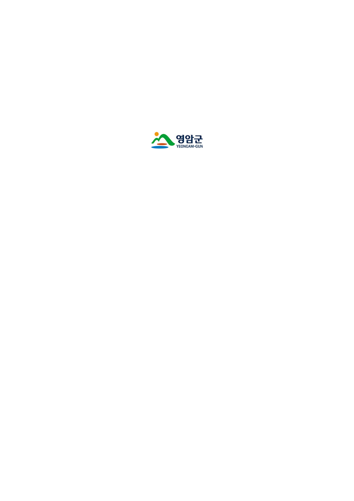